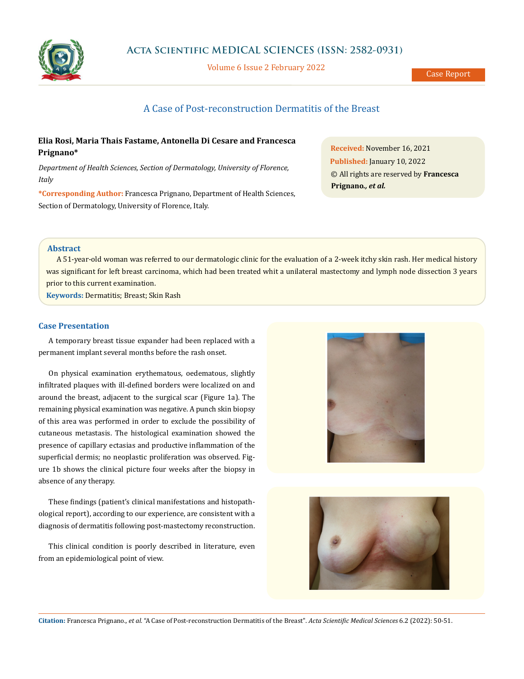

Volume 6 Issue 2 February 2022

# A Case of Post-reconstruction Dermatitis of the Breast

## **Elia Rosi, Maria Thais Fastame, Antonella Di Cesare and Francesca Prignano\***

*Department of Health Sciences, Section of Dermatology, University of Florence, Italy*

**\*Corresponding Author:** Francesca Prignano, Department of Health Sciences, Section of Dermatology, University of Florence, Italy.

**Received:** November 16, 2021 **Published:** January 10, 2022 © All rights are reserved by **Francesca Prignano***., et al.*

## **Abstract**

A 51-year-old woman was referred to our dermatologic clinic for the evaluation of a 2-week itchy skin rash. Her medical history was significant for left breast carcinoma, which had been treated whit a unilateral mastectomy and lymph node dissection 3 years prior to this current examination.

**Keywords:** Dermatitis; Breast; Skin Rash

#### **Case Presentation**

A temporary breast tissue expander had been replaced with a permanent implant several months before the rash onset.

On physical examination erythematous, oedematous, slightly infiltrated plaques with ill-defined borders were localized on and around the breast, adjacent to the surgical scar (Figure 1a). The remaining physical examination was negative. A punch skin biopsy of this area was performed in order to exclude the possibility of cutaneous metastasis. The histological examination showed the presence of capillary ectasias and productive inflammation of the superficial dermis; no neoplastic proliferation was observed. Figure 1b shows the clinical picture four weeks after the biopsy in absence of any therapy.

These findings (patient's clinical manifestations and histopathological report), according to our experience, are consistent with a diagnosis of dermatitis following post-mastectomy reconstruction.

This clinical condition is poorly described in literature, even from an epidemiological point of view.





**Citation:** Francesca Prignano*., et al.* "A Case of Post-reconstruction Dermatitis of the Breast". *Acta Scientific Medical Sciences* 6.2 (2022): 50-51.